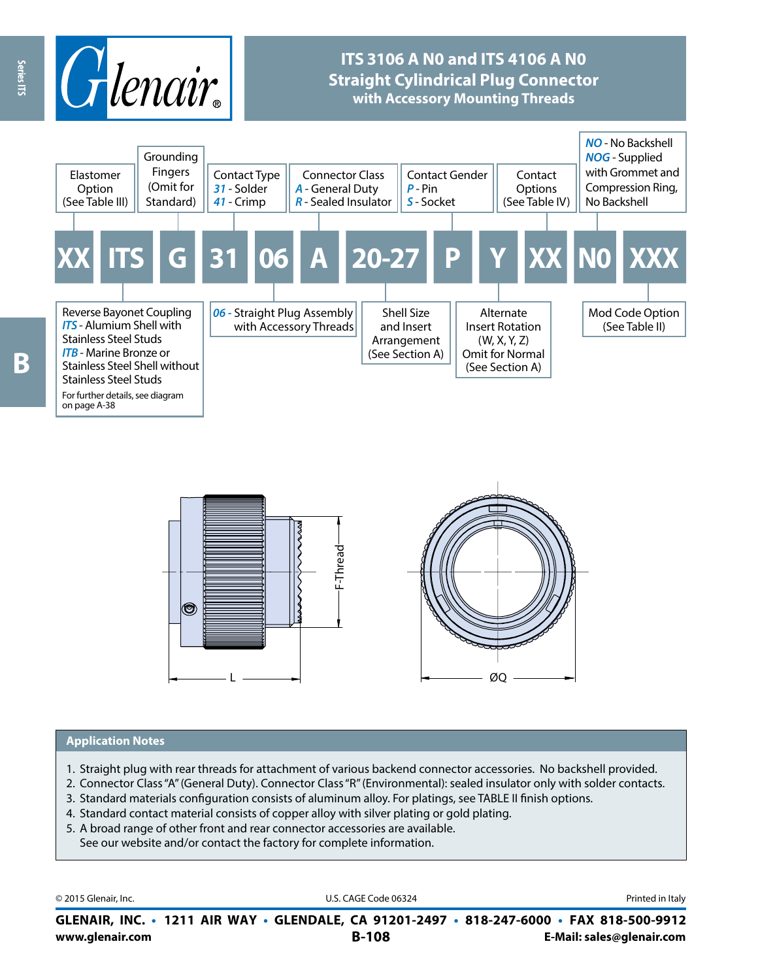

## **ITS 3106 A N0 and ITS 4106 A N0 Straight Cylindrical Plug Connector with Accessory Mounting Threads**





#### **Application Notes**

- 1. Straight plug with rear threads for attachment of various backend connector accessories. No backshell provided.
- 2. Connector Class "A" (General Duty). Connector Class "R" (Environmental): sealed insulator only with solder contacts.
- 3. Standard materials configuration consists of aluminum alloy. For platings, see TABLE II finish options.
- 4. Standard contact material consists of copper alloy with silver plating or gold plating.
- 5. A broad range of other front and rear connector accessories are available. See our website and/or contact the factory for complete information.

© 2015 Glenair, Inc. **Discription Construction Construction Construction Construction Construction Construction Construction Construction Construction Construction Construction Construction Construction Construction Constr** 

**www.glenair.com B-108 E-Mail: sales@glenair.com GLENAIR, INC. • 1211 AIR WAY • GLENDALE, CA 91201-2497 • 818-247-6000 • FAX 818-500-9912**